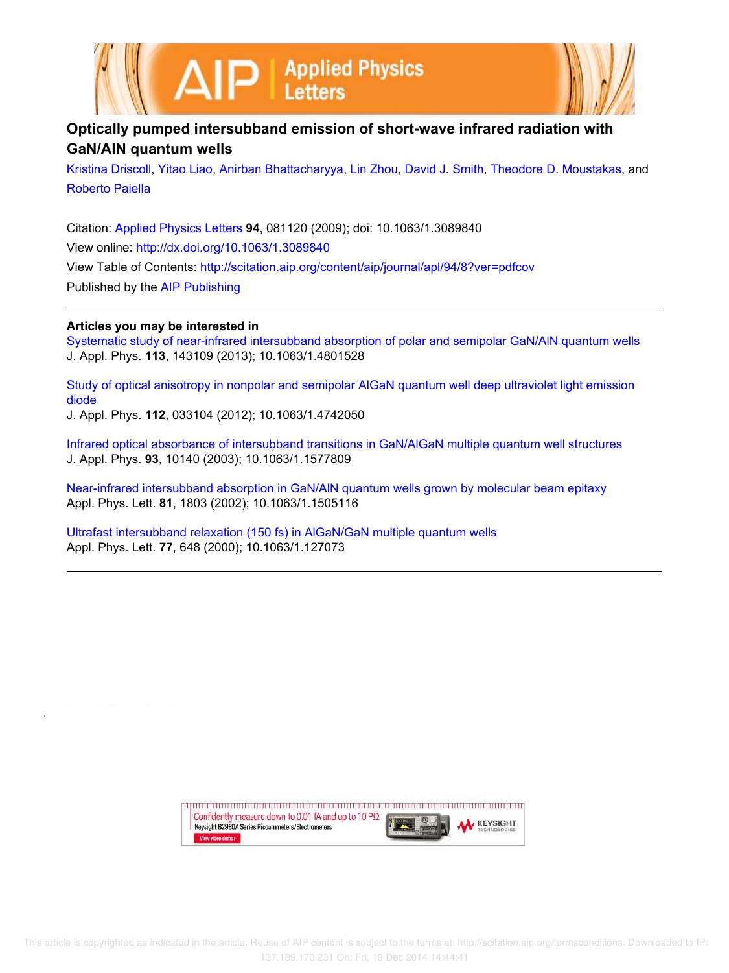



## **Optically pumped intersubband emission of short-wave infrared radiation with GaN/AlN quantum wells**

Kristina Driscoll, Yitao Liao, Anirban Bhattacharyya, Lin Zhou, David J. Smith, Theodore D. Moustakas, and Roberto Paiella

Citation: Applied Physics Letters **94**, 081120 (2009); doi: 10.1063/1.3089840 View online: http://dx.doi.org/10.1063/1.3089840 View Table of Contents: http://scitation.aip.org/content/aip/journal/apl/94/8?ver=pdfcov Published by the AIP Publishing

## **Articles you may be interested in**

Systematic study of near-infrared intersubband absorption of polar and semipolar GaN/AlN quantum wells J. Appl. Phys. **113**, 143109 (2013); 10.1063/1.4801528

Study of optical anisotropy in nonpolar and semipolar AlGaN quantum well deep ultraviolet light emission diode

J. Appl. Phys. **112**, 033104 (2012); 10.1063/1.4742050

Infrared optical absorbance of intersubband transitions in GaN/AlGaN multiple quantum well structures J. Appl. Phys. **93**, 10140 (2003); 10.1063/1.1577809

Near-infrared intersubband absorption in GaN/AlN quantum wells grown by molecular beam epitaxy Appl. Phys. Lett. **81**, 1803 (2002); 10.1063/1.1505116

Ultrafast intersubband relaxation (150 fs) in AlGaN/GaN multiple quantum wells Appl. Phys. Lett. **77**, 648 (2000); 10.1063/1.127073

> Confidently measure down to 0.01 fA and up to 10 P $\Omega$ **KEYSIGHT** Keysight B2980A Series Picoammeters/Electrometers View video demo>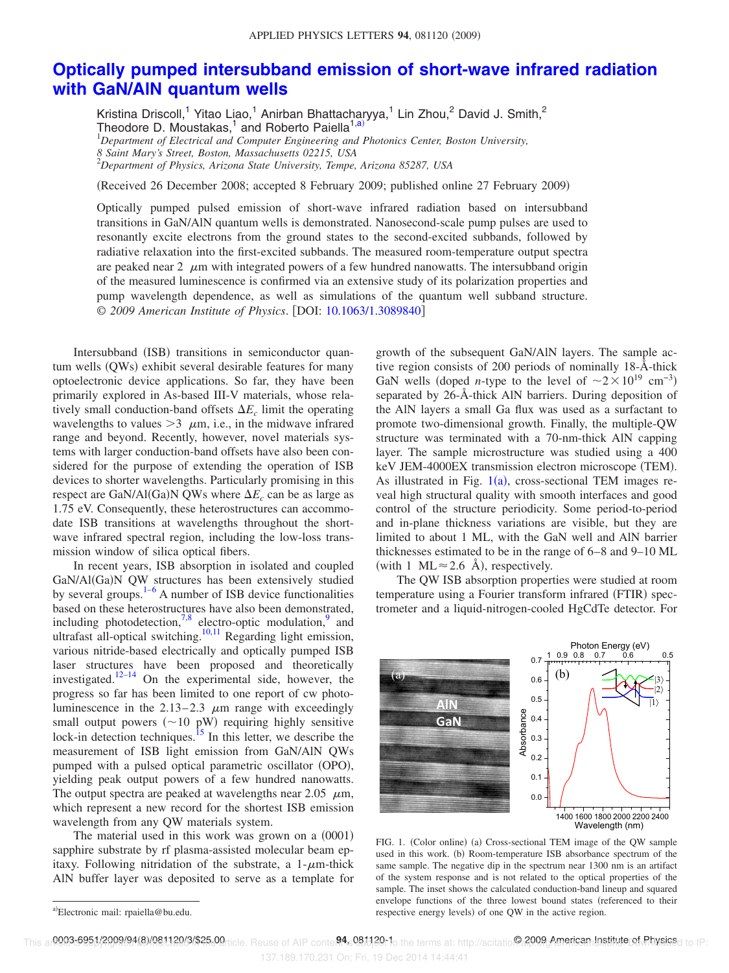## **Optically pumped intersubband emission of short-wave infrared radiation with GaN/AlN quantum wells**

Kristina Driscoll,<sup>1</sup> Yitao Liao,<sup>1</sup> Anirban Bhattacharyya,<sup>1</sup> Lin Zhou,<sup>2</sup> David J. Smith,<sup>2</sup> Theodore D. Moustakas,<sup>1</sup> and Roberto Paiella<sup>1,a)</sup> <sup>1</sup>*Department of Electrical and Computer Engineering and Photonics Center, Boston University, 8 Saint Mary's Street, Boston, Massachusetts 02215, USA*

<sup>2</sup>*Department of Physics, Arizona State University, Tempe, Arizona 85287, USA*

(Received 26 December 2008; accepted 8 February 2009; published online 27 February 2009)

Optically pumped pulsed emission of short-wave infrared radiation based on intersubband transitions in GaN/AlN quantum wells is demonstrated. Nanosecond-scale pump pulses are used to resonantly excite electrons from the ground states to the second-excited subbands, followed by radiative relaxation into the first-excited subbands. The measured room-temperature output spectra are peaked near 2  $\mu$ m with integrated powers of a few hundred nanowatts. The intersubband origin of the measured luminescence is confirmed via an extensive study of its polarization properties and pump wavelength dependence, as well as simulations of the quantum well subband structure. © *2009 American Institute of Physics*. DOI: 10.1063/1.3089840

Intersubband (ISB) transitions in semiconductor quantum wells (QWs) exhibit several desirable features for many optoelectronic device applications. So far, they have been primarily explored in As-based III-V materials, whose relatively small conduction-band offsets  $\Delta E_c$  limit the operating wavelengths to values  $>3$   $\mu$ m, i.e., in the midwave infrared range and beyond. Recently, however, novel materials systems with larger conduction-band offsets have also been considered for the purpose of extending the operation of ISB devices to shorter wavelengths. Particularly promising in this respect are GaN/Al(Ga)N QWs where  $\Delta E_c$  can be as large as 1.75 eV. Consequently, these heterostructures can accommodate ISB transitions at wavelengths throughout the shortwave infrared spectral region, including the low-loss transmission window of silica optical fibers.

In recent years, ISB absorption in isolated and coupled GaN/Al(Ga)N QW structures has been extensively studied by several groups. $1-6$  A number of ISB device functionalities based on these heterostructures have also been demonstrated, including photodetection,  $7.8$  electro-optic modulation,  $9$  and ultrafast all-optical switching.<sup>10,11</sup> Regarding light emission, various nitride-based electrically and optically pumped ISB laser structures have been proposed and theoretically investigated.12–14 On the experimental side, however, the progress so far has been limited to one report of cw photoluminescence in the  $2.13-2.3$   $\mu$ m range with exceedingly small output powers  $(\sim 10 \text{ pW})$  requiring highly sensitive lock-in detection techniques.<sup>15</sup> In this letter, we describe the measurement of ISB light emission from GaN/AlN QWs pumped with a pulsed optical parametric oscillator (OPO), yielding peak output powers of a few hundred nanowatts. The output spectra are peaked at wavelengths near 2.05  $\mu$ m, which represent a new record for the shortest ISB emission wavelength from any QW materials system.

The material used in this work was grown on a  $(0001)$ sapphire substrate by rf plasma-assisted molecular beam epitaxy. Following nitridation of the substrate, a  $1-\mu m$ -thick AlN buffer layer was deposited to serve as a template for

growth of the subsequent GaN/AlN layers. The sample active region consists of 200 periods of nominally 18-Å-thick GaN wells (doped *n*-type to the level of  $\sim 2 \times 10^{19}$  cm<sup>-3</sup>) separated by 26-Å-thick AlN barriers. During deposition of the AlN layers a small Ga flux was used as a surfactant to promote two-dimensional growth. Finally, the multiple-QW structure was terminated with a 70-nm-thick AlN capping layer. The sample microstructure was studied using a 400 keV JEM-4000EX transmission electron microscope (TEM). As illustrated in Fig.  $1(a)$ , cross-sectional TEM images reveal high structural quality with smooth interfaces and good control of the structure periodicity. Some period-to-period and in-plane thickness variations are visible, but they are limited to about 1 ML, with the GaN well and AlN barrier thicknesses estimated to be in the range of 6–8 and 9–10 ML (with 1 ML  $\approx$  2.6 Å), respectively.

The QW ISB absorption properties were studied at room temperature using a Fourier transform infrared (FTIR) spectrometer and a liquid-nitrogen-cooled HgCdTe detector. For



FIG. 1. (Color online) (a) Cross-sectional TEM image of the QW sample used in this work. (b) Room-temperature ISB absorbance spectrum of the same sample. The negative dip in the spectrum near 1300 nm is an artifact of the system response and is not related to the optical properties of the sample. The inset shows the calculated conduction-band lineup and squared envelope functions of the three lowest bound states (referenced to their respective energy levels) of one QW in the active region.

137.189.170.231 On: Fri, 19 Dec 2014 14:44:41

a)Electronic mail: rpaiella@bu.edu.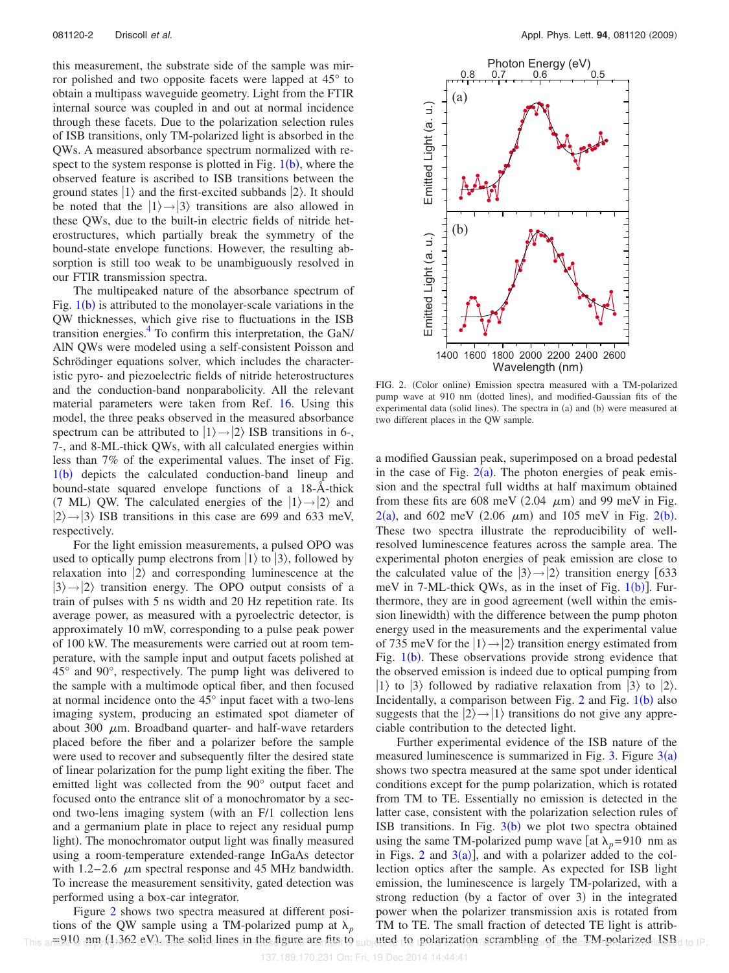this measurement, the substrate side of the sample was mirror polished and two opposite facets were lapped at 45° to obtain a multipass waveguide geometry. Light from the FTIR internal source was coupled in and out at normal incidence through these facets. Due to the polarization selection rules of ISB transitions, only TM-polarized light is absorbed in the QWs. A measured absorbance spectrum normalized with respect to the system response is plotted in Fig.  $1(b)$ , where the observed feature is ascribed to ISB transitions between the ground states  $|1\rangle$  and the first-excited subbands  $|2\rangle$ . It should be noted that the  $|1\rangle \rightarrow |3\rangle$  transitions are also allowed in these QWs, due to the built-in electric fields of nitride heterostructures, which partially break the symmetry of the bound-state envelope functions. However, the resulting absorption is still too weak to be unambiguously resolved in our FTIR transmission spectra.

The multipeaked nature of the absorbance spectrum of Fig.  $1(b)$  is attributed to the monolayer-scale variations in the QW thicknesses, which give rise to fluctuations in the ISB transition energies.<sup>4</sup> To confirm this interpretation, the GaN/ AlN QWs were modeled using a self-consistent Poisson and Schrödinger equations solver, which includes the characteristic pyro- and piezoelectric fields of nitride heterostructures and the conduction-band nonparabolicity. All the relevant material parameters were taken from Ref. 16. Using this model, the three peaks observed in the measured absorbance spectrum can be attributed to  $|1\rangle \rightarrow |2\rangle$  ISB transitions in 6-, 7-, and 8-ML-thick QWs, with all calculated energies within less than 7% of the experimental values. The inset of Fig. 1(b) depicts the calculated conduction-band lineup and bound-state squared envelope functions of a 18-Å-thick (7 ML) QW. The calculated energies of the  $|1\rangle \rightarrow |2\rangle$  and  $|2\rangle \rightarrow |3\rangle$  ISB transitions in this case are 699 and 633 meV, respectively.

For the light emission measurements, a pulsed OPO was used to optically pump electrons from  $|1\rangle$  to  $|3\rangle$ , followed by relaxation into  $|2\rangle$  and corresponding luminescence at the  $|3\rangle \rightarrow |2\rangle$  transition energy. The OPO output consists of a train of pulses with 5 ns width and 20 Hz repetition rate. Its average power, as measured with a pyroelectric detector, is approximately 10 mW, corresponding to a pulse peak power of 100 kW. The measurements were carried out at room temperature, with the sample input and output facets polished at 45° and 90°, respectively. The pump light was delivered to the sample with a multimode optical fiber, and then focused at normal incidence onto the 45° input facet with a two-lens imaging system, producing an estimated spot diameter of about 300  $\mu$ m. Broadband quarter- and half-wave retarders placed before the fiber and a polarizer before the sample were used to recover and subsequently filter the desired state of linear polarization for the pump light exiting the fiber. The emitted light was collected from the 90° output facet and focused onto the entrance slit of a monochromator by a second two-lens imaging system (with an F/1 collection lens and a germanium plate in place to reject any residual pump light). The monochromator output light was finally measured using a room-temperature extended-range InGaAs detector with  $1.2-2.6$   $\mu$ m spectral response and 45 MHz bandwidth. To increase the measurement sensitivity, gated detection was performed using a box-car integrator.

Figure 2 shows two spectra measured at different positions of the QW sample using a TM-polarized pump at  $\lambda_p$  $=910$  nm  $(1.362 \text{ eV})$ . The solid lines in the figure are fits to



FIG. 2. (Color online) Emission spectra measured with a TM-polarized pump wave at 910 nm (dotted lines), and modified-Gaussian fits of the experimental data (solid lines). The spectra in (a) and (b) were measured at two different places in the QW sample.

a modified Gaussian peak, superimposed on a broad pedestal in the case of Fig.  $2(a)$ . The photon energies of peak emission and the spectral full widths at half maximum obtained from these fits are 608 meV  $(2.04 \mu m)$  and 99 meV in Fig.  $2(a)$ , and 602 meV (2.06  $\mu$ m) and 105 meV in Fig. 2(b). These two spectra illustrate the reproducibility of wellresolved luminescence features across the sample area. The experimental photon energies of peak emission are close to the calculated value of the  $|3\rangle \rightarrow |2\rangle$  transition energy [633] meV in 7-ML-thick QWs, as in the inset of Fig.  $1(b)$ ]. Furthermore, they are in good agreement (well within the emission linewidth) with the difference between the pump photon energy used in the measurements and the experimental value of 735 meV for the  $|1\rangle \rightarrow |2\rangle$  transition energy estimated from Fig.  $1(b)$ . These observations provide strong evidence that the observed emission is indeed due to optical pumping from  $|1\rangle$  to  $|3\rangle$  followed by radiative relaxation from  $|3\rangle$  to  $|2\rangle$ . Incidentally, a comparison between Fig.  $2$  and Fig.  $1(b)$  also suggests that the  $|2\rangle \rightarrow |1\rangle$  transitions do not give any appreciable contribution to the detected light.  $\frac{d}{dx}$ <br>  $\frac{d}{dx}$ <br>  $\frac{d}{dx}$ <br>  $\frac{d}{dx}$ <br>  $\frac{d}{dx}$ <br>  $\frac{d}{dx}$ <br>  $\frac{d}{dx}$ <br>  $\frac{d}{dx}$ <br>  $\frac{d}{dx}$ <br>  $\frac{d}{dx}$ <br>  $\frac{d}{dx}$ <br>  $\frac{d}{dx}$ <br>  $\frac{d}{dx}$ <br>  $\frac{d}{dx}$ <br>  $\frac{d}{dx}$ <br>  $\frac{d}{dx}$ <br>  $\frac{d}{dx}$ <br>  $\frac{d}{dx}$ <br>  $\frac{d}{dx}$ <br>  $\frac{d}{dx}$ <br>

Further experimental evidence of the ISB nature of the measured luminescence is summarized in Fig. 3. Figure  $3(a)$ shows two spectra measured at the same spot under identical conditions except for the pump polarization, which is rotated from TM to TE. Essentially no emission is detected in the latter case, consistent with the polarization selection rules of ISB transitions. In Fig.  $3(b)$  we plot two spectra obtained using the same TM-polarized pump wave [at  $\lambda_p$ =910 nm as in Figs. 2 and  $3(a)$ ], and with a polarizer added to the collection optics after the sample. As expected for ISB light emission, the luminescence is largely TM-polarized, with a strong reduction (by a factor of over 3) in the integrated power when the polarizer transmission axis is rotated from TM to TE. The small fraction of detected TE light is attribarted to polarization scrambling of the TM polarized JSB d to IP: